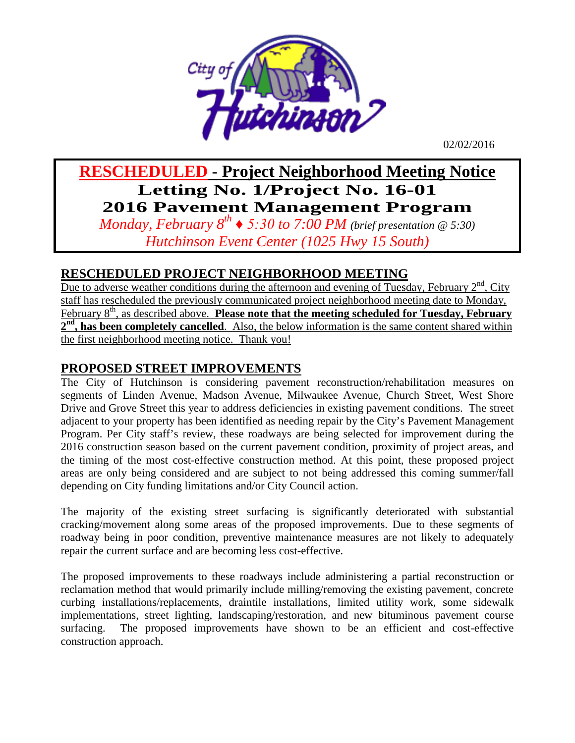

02/02/2016

# **RESCHEDULED - Project Neighborhood Meeting Notice Letting No. 1/Project No. 16-01 2016 Pavement Management Program**

*Monday, February*  $8^{th}$   $\blacklozenge$  5:30 *to* 7:00 *PM (brief presentation @ 5:30) Hutchinson Event Center (1025 Hwy 15 South)*

# **RESCHEDULED PROJECT NEIGHBORHOOD MEETING**

Due to adverse weather conditions during the afternoon and evening of Tuesday, February  $2<sup>nd</sup>$ , City staff has rescheduled the previously communicated project neighborhood meeting date to Monday, February 8<sup>th</sup>, as described above. **Please note that the meeting scheduled for Tuesday, February**  $2<sup>nd</sup>$ , has been completely cancelled. Also, the below information is the same content shared within the first neighborhood meeting notice. Thank you!

## **PROPOSED STREET IMPROVEMENTS**

The City of Hutchinson is considering pavement reconstruction/rehabilitation measures on segments of Linden Avenue, Madson Avenue, Milwaukee Avenue, Church Street, West Shore Drive and Grove Street this year to address deficiencies in existing pavement conditions. The street adjacent to your property has been identified as needing repair by the City's Pavement Management Program. Per City staff's review, these roadways are being selected for improvement during the 2016 construction season based on the current pavement condition, proximity of project areas, and the timing of the most cost-effective construction method. At this point, these proposed project areas are only being considered and are subject to not being addressed this coming summer/fall depending on City funding limitations and/or City Council action.

The majority of the existing street surfacing is significantly deteriorated with substantial cracking/movement along some areas of the proposed improvements. Due to these segments of roadway being in poor condition, preventive maintenance measures are not likely to adequately repair the current surface and are becoming less cost-effective.

The proposed improvements to these roadways include administering a partial reconstruction or reclamation method that would primarily include milling/removing the existing pavement, concrete curbing installations/replacements, draintile installations, limited utility work, some sidewalk implementations, street lighting, landscaping/restoration, and new bituminous pavement course surfacing. The proposed improvements have shown to be an efficient and cost-effective construction approach.